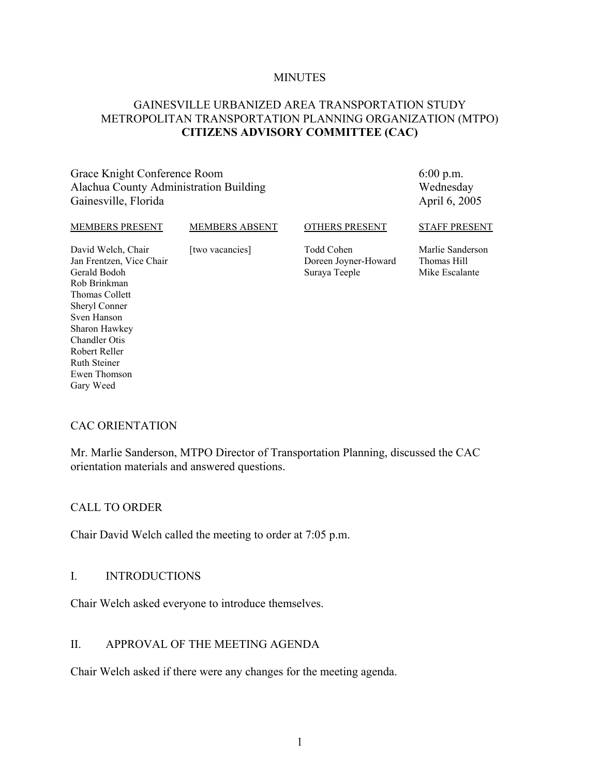#### **MINUTES**

#### GAINESVILLE URBANIZED AREA TRANSPORTATION STUDY METROPOLITAN TRANSPORTATION PLANNING ORGANIZATION (MTPO) **CITIZENS ADVISORY COMMITTEE (CAC)**

Grace Knight Conference Room Alachua County Administration Building Gainesville, Florida

6:00 p.m. Wednesday April 6, 2005

#### MEMBERS PRESENT

#### MEMBERS ABSENT

OTHERS PRESENT

Todd Cohen

David Welch, Chair Jan Frentzen, Vice Chair Gerald Bodoh Rob Brinkman Thomas Collett Sheryl Conner Sven Hanson Sharon Hawkey Chandler Otis Robert Reller Ruth Steiner Ewen Thomson Gary Weed

[two vacancies] Doreen Joyner-Howard Suraya Teeple

Marlie Sanderson Thomas Hill Mike Escalante

STAFF PRESENT

#### CAC ORIENTATION

Mr. Marlie Sanderson, MTPO Director of Transportation Planning, discussed the CAC orientation materials and answered questions.

#### CALL TO ORDER

Chair David Welch called the meeting to order at 7:05 p.m.

#### I. INTRODUCTIONS

Chair Welch asked everyone to introduce themselves.

#### II. APPROVAL OF THE MEETING AGENDA

Chair Welch asked if there were any changes for the meeting agenda.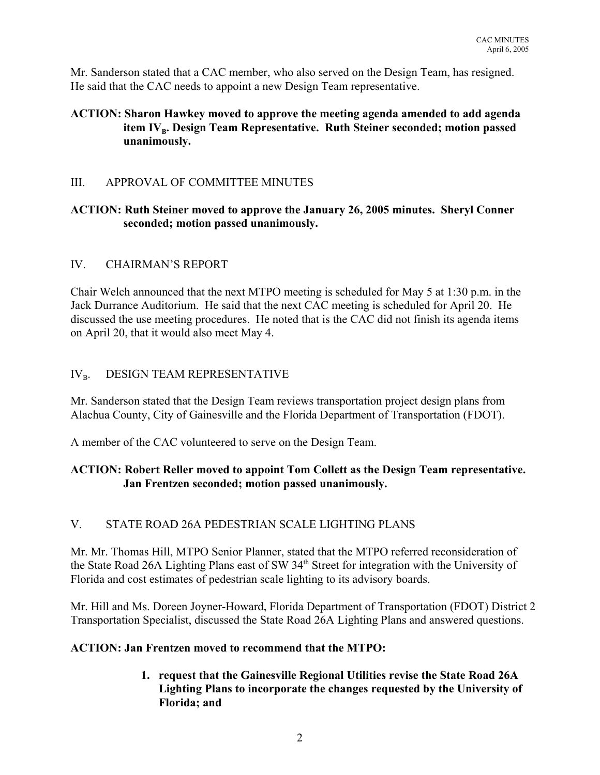Mr. Sanderson stated that a CAC member, who also served on the Design Team, has resigned. He said that the CAC needs to appoint a new Design Team representative.

## **ACTION: Sharon Hawkey moved to approve the meeting agenda amended to add agenda** item IV<sub>R</sub>. Design Team Representative. Ruth Steiner seconded; motion passed **unanimously.**

## III. APPROVAL OF COMMITTEE MINUTES

## **ACTION: Ruth Steiner moved to approve the January 26, 2005 minutes. Sheryl Conner seconded; motion passed unanimously.**

#### IV. CHAIRMAN'S REPORT

Chair Welch announced that the next MTPO meeting is scheduled for May 5 at 1:30 p.m. in the Jack Durrance Auditorium. He said that the next CAC meeting is scheduled for April 20. He discussed the use meeting procedures. He noted that is the CAC did not finish its agenda items on April 20, that it would also meet May 4.

# $IV_{B}$ . DESIGN TEAM REPRESENTATIVE

Mr. Sanderson stated that the Design Team reviews transportation project design plans from Alachua County, City of Gainesville and the Florida Department of Transportation (FDOT).

A member of the CAC volunteered to serve on the Design Team.

## **ACTION: Robert Reller moved to appoint Tom Collett as the Design Team representative. Jan Frentzen seconded; motion passed unanimously.**

# V. STATE ROAD 26A PEDESTRIAN SCALE LIGHTING PLANS

Mr. Mr. Thomas Hill, MTPO Senior Planner, stated that the MTPO referred reconsideration of the State Road 26A Lighting Plans east of SW 34<sup>th</sup> Street for integration with the University of Florida and cost estimates of pedestrian scale lighting to its advisory boards.

Mr. Hill and Ms. Doreen Joyner-Howard, Florida Department of Transportation (FDOT) District 2 Transportation Specialist, discussed the State Road 26A Lighting Plans and answered questions.

#### **ACTION: Jan Frentzen moved to recommend that the MTPO:**

**1. request that the Gainesville Regional Utilities revise the State Road 26A Lighting Plans to incorporate the changes requested by the University of Florida; and**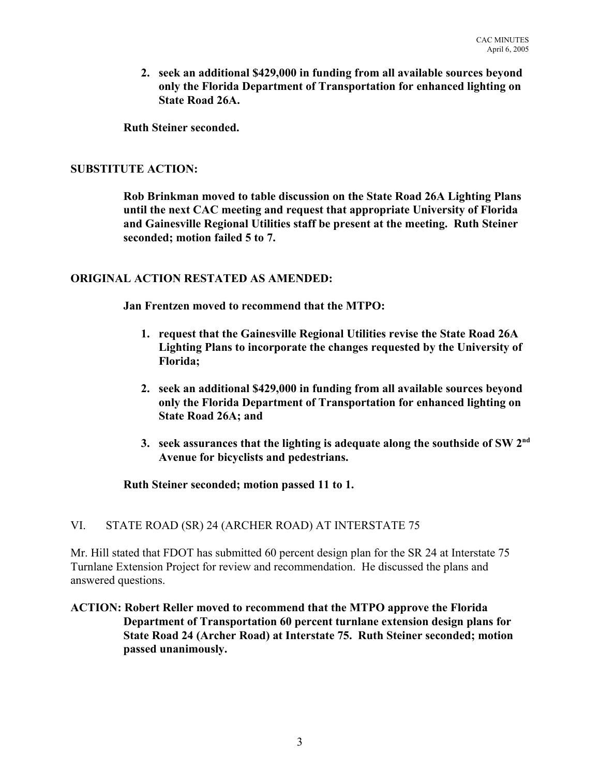**2. seek an additional \$429,000 in funding from all available sources beyond only the Florida Department of Transportation for enhanced lighting on State Road 26A.**

**Ruth Steiner seconded.**

#### **SUBSTITUTE ACTION:**

**Rob Brinkman moved to table discussion on the State Road 26A Lighting Plans until the next CAC meeting and request that appropriate University of Florida and Gainesville Regional Utilities staff be present at the meeting. Ruth Steiner seconded; motion failed 5 to 7.**

#### **ORIGINAL ACTION RESTATED AS AMENDED:**

**Jan Frentzen moved to recommend that the MTPO:**

- **1. request that the Gainesville Regional Utilities revise the State Road 26A Lighting Plans to incorporate the changes requested by the University of Florida;**
- **2. seek an additional \$429,000 in funding from all available sources beyond only the Florida Department of Transportation for enhanced lighting on State Road 26A; and**
- **3. seek assurances that the lighting is adequate along the southside of SW 2nd Avenue for bicyclists and pedestrians.**

**Ruth Steiner seconded; motion passed 11 to 1.**

#### VI. STATE ROAD (SR) 24 (ARCHER ROAD) AT INTERSTATE 75

Mr. Hill stated that FDOT has submitted 60 percent design plan for the SR 24 at Interstate 75 Turnlane Extension Project for review and recommendation. He discussed the plans and answered questions.

#### **ACTION: Robert Reller moved to recommend that the MTPO approve the Florida Department of Transportation 60 percent turnlane extension design plans for State Road 24 (Archer Road) at Interstate 75. Ruth Steiner seconded; motion passed unanimously.**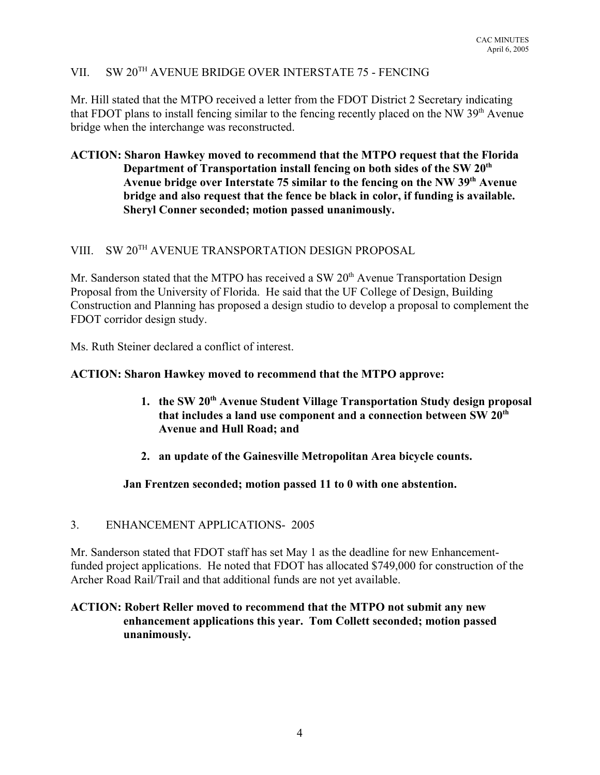# VII. SW 20TH AVENUE BRIDGE OVER INTERSTATE 75 - FENCING

Mr. Hill stated that the MTPO received a letter from the FDOT District 2 Secretary indicating that FDOT plans to install fencing similar to the fencing recently placed on the NW  $39<sup>th</sup>$  Avenue bridge when the interchange was reconstructed.

## **ACTION: Sharon Hawkey moved to recommend that the MTPO request that the Florida Department of Transportation install fencing on both sides of the SW 20th Avenue bridge over Interstate 75 similar to the fencing on the NW 39th Avenue bridge and also request that the fence be black in color, if funding is available. Sheryl Conner seconded; motion passed unanimously.**

# VIII. SW 20<sup>TH</sup> AVENUE TRANSPORTATION DESIGN PROPOSAL

Mr. Sanderson stated that the MTPO has received a SW  $20<sup>th</sup>$  Avenue Transportation Design Proposal from the University of Florida. He said that the UF College of Design, Building Construction and Planning has proposed a design studio to develop a proposal to complement the FDOT corridor design study.

Ms. Ruth Steiner declared a conflict of interest.

#### **ACTION: Sharon Hawkey moved to recommend that the MTPO approve:**

- **1. the SW 20th Avenue Student Village Transportation Study design proposal that includes a land use component and a connection between SW 20th Avenue and Hull Road; and**
- **2. an update of the Gainesville Metropolitan Area bicycle counts.**

#### **Jan Frentzen seconded; motion passed 11 to 0 with one abstention.**

#### 3. ENHANCEMENT APPLICATIONS- 2005

Mr. Sanderson stated that FDOT staff has set May 1 as the deadline for new Enhancementfunded project applications. He noted that FDOT has allocated \$749,000 for construction of the Archer Road Rail/Trail and that additional funds are not yet available.

#### **ACTION: Robert Reller moved to recommend that the MTPO not submit any new enhancement applications this year. Tom Collett seconded; motion passed unanimously.**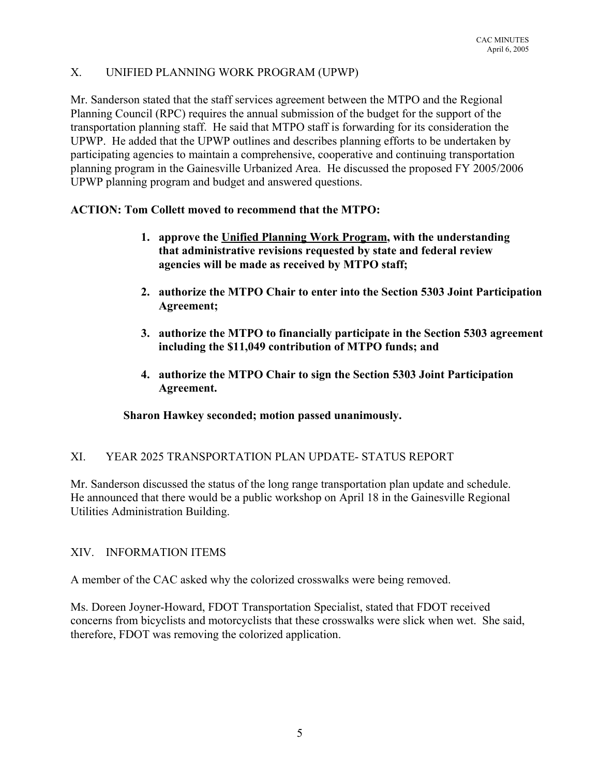# X. UNIFIED PLANNING WORK PROGRAM (UPWP)

Mr. Sanderson stated that the staff services agreement between the MTPO and the Regional Planning Council (RPC) requires the annual submission of the budget for the support of the transportation planning staff. He said that MTPO staff is forwarding for its consideration the UPWP. He added that the UPWP outlines and describes planning efforts to be undertaken by participating agencies to maintain a comprehensive, cooperative and continuing transportation planning program in the Gainesville Urbanized Area. He discussed the proposed FY 2005/2006 UPWP planning program and budget and answered questions.

#### **ACTION: Tom Collett moved to recommend that the MTPO:**

- **1. approve the Unified Planning Work Program, with the understanding that administrative revisions requested by state and federal review agencies will be made as received by MTPO staff;**
- **2. authorize the MTPO Chair to enter into the Section 5303 Joint Participation Agreement;**
- **3. authorize the MTPO to financially participate in the Section 5303 agreement including the \$11,049 contribution of MTPO funds; and**
- **4. authorize the MTPO Chair to sign the Section 5303 Joint Participation Agreement.**

#### **Sharon Hawkey seconded; motion passed unanimously.**

# XI. YEAR 2025 TRANSPORTATION PLAN UPDATE- STATUS REPORT

Mr. Sanderson discussed the status of the long range transportation plan update and schedule. He announced that there would be a public workshop on April 18 in the Gainesville Regional Utilities Administration Building.

#### XIV. INFORMATION ITEMS

A member of the CAC asked why the colorized crosswalks were being removed.

Ms. Doreen Joyner-Howard, FDOT Transportation Specialist, stated that FDOT received concerns from bicyclists and motorcyclists that these crosswalks were slick when wet. She said, therefore, FDOT was removing the colorized application.